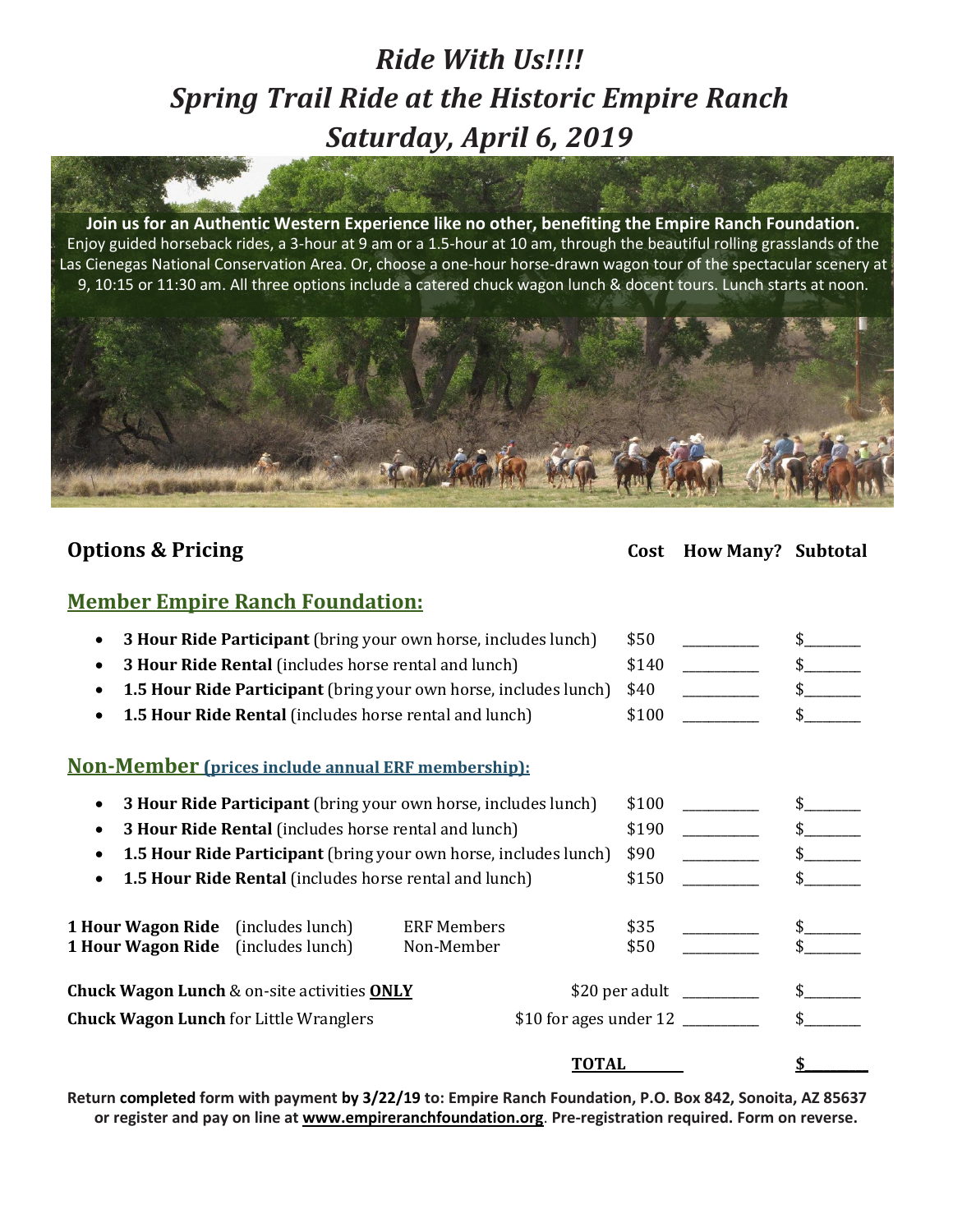# *Ride With Us!!!! Spring Trail Ride at the Historic Empire Ranch Saturday, April 6, 2019*

**Join us for an Authentic Western Experience like no other, benefiting the Empire Ranch Foundation.** Enjoy guided horseback rides, a 3-hour at 9 am or a 1.5-hour at 10 am, through the beautiful rolling grasslands of the Las Cienegas National Conservation Area. Or, choose a one-hour horse-drawn wagon tour of the spectacular scenery at 9, 10:15 or 11:30 am. All three options include a catered chuck wagon lunch & docent tours. Lunch starts at noon.



## **Options & Pricing Cost How Many? Subtotal**

### **Member Empire Ranch Foundation:**

|                                                                         | 3 Hour Ride Participant (bring your own horse, includes lunch)        | \$50               |      |  |
|-------------------------------------------------------------------------|-----------------------------------------------------------------------|--------------------|------|--|
|                                                                         | <b>3 Hour Ride Rental</b> (includes horse rental and lunch)           | \$140              |      |  |
| <b>1.5 Hour Ride Participant</b> (bring your own horse, includes lunch) |                                                                       |                    |      |  |
|                                                                         | <b>1.5 Hour Ride Rental</b> (includes horse rental and lunch)         | \$100              |      |  |
|                                                                         | <u>Non-Member (prices include annual ERF membership):</u>             |                    |      |  |
|                                                                         | <b>3 Hour Ride Participant</b> (bring your own horse, includes lunch) | \$100              |      |  |
| <b>3 Hour Ride Rental</b> (includes horse rental and lunch)             |                                                                       |                    |      |  |
| <b>1.5 Hour Ride Participant</b> (bring your own horse, includes lunch) | \$90                                                                  |                    |      |  |
|                                                                         | 1.5 Hour Ride Rental (includes horse rental and lunch)                | \$150              |      |  |
|                                                                         | <b>1 Hour Wagon Ride</b> (includes lunch)                             | <b>ERF Members</b> | \$35 |  |
|                                                                         | 1 Hour Wagon Ride (includes lunch)                                    | Non-Member         | \$50 |  |
| <b>Chuck Wagon Lunch &amp; on-site activities ONLY</b>                  |                                                                       |                    |      |  |
| <b>Chuck Wagon Lunch for Little Wranglers</b>                           |                                                                       |                    |      |  |
|                                                                         |                                                                       | TOTAL              |      |  |

Return completed form with payment by 3/22/19 to: Empire Ranch Foundation, P.O. Box 842, Sonoita, AZ 85637 **or register and pay on line at [www.empireranchfoundation.org](http://www.empireranchfoundation.org/)**. **Pre-registration required. Form on reverse.**